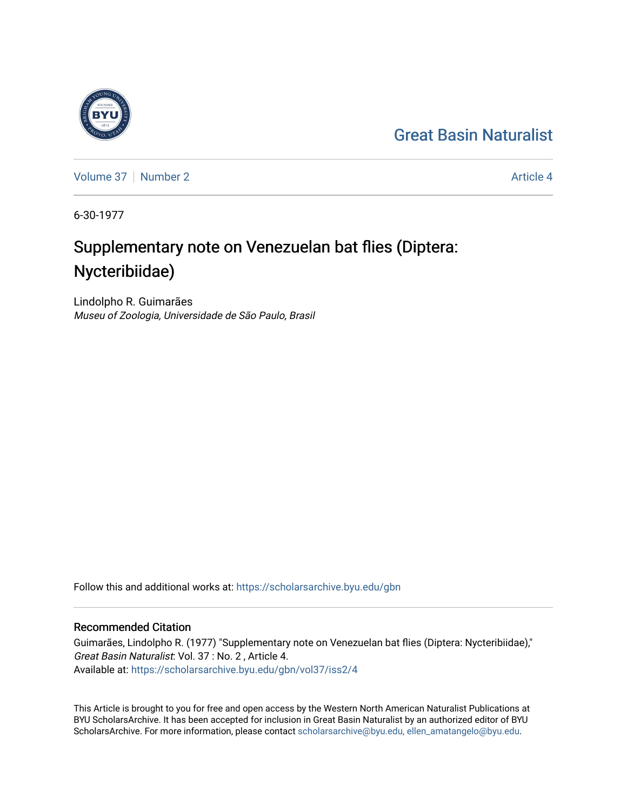## [Great Basin Naturalist](https://scholarsarchive.byu.edu/gbn)



[Volume 37](https://scholarsarchive.byu.edu/gbn/vol37) | [Number 2](https://scholarsarchive.byu.edu/gbn/vol37/iss2) Article 4

6-30-1977

# Supplementary note on Venezuelan bat flies (Diptera: Nycteribiidae)

Lindolpho R. Guimarães Museu of Zoologia, Universidade de São Paulo, Brasil

Follow this and additional works at: [https://scholarsarchive.byu.edu/gbn](https://scholarsarchive.byu.edu/gbn?utm_source=scholarsarchive.byu.edu%2Fgbn%2Fvol37%2Fiss2%2F4&utm_medium=PDF&utm_campaign=PDFCoverPages) 

### Recommended Citation

Guimarães, Lindolpho R. (1977) "Supplementary note on Venezuelan bat flies (Diptera: Nycteribiidae)," Great Basin Naturalist: Vol. 37 : No. 2 , Article 4. Available at: [https://scholarsarchive.byu.edu/gbn/vol37/iss2/4](https://scholarsarchive.byu.edu/gbn/vol37/iss2/4?utm_source=scholarsarchive.byu.edu%2Fgbn%2Fvol37%2Fiss2%2F4&utm_medium=PDF&utm_campaign=PDFCoverPages)

This Article is brought to you for free and open access by the Western North American Naturalist Publications at BYU ScholarsArchive. It has been accepted for inclusion in Great Basin Naturalist by an authorized editor of BYU ScholarsArchive. For more information, please contact [scholarsarchive@byu.edu, ellen\\_amatangelo@byu.edu.](mailto:scholarsarchive@byu.edu,%20ellen_amatangelo@byu.edu)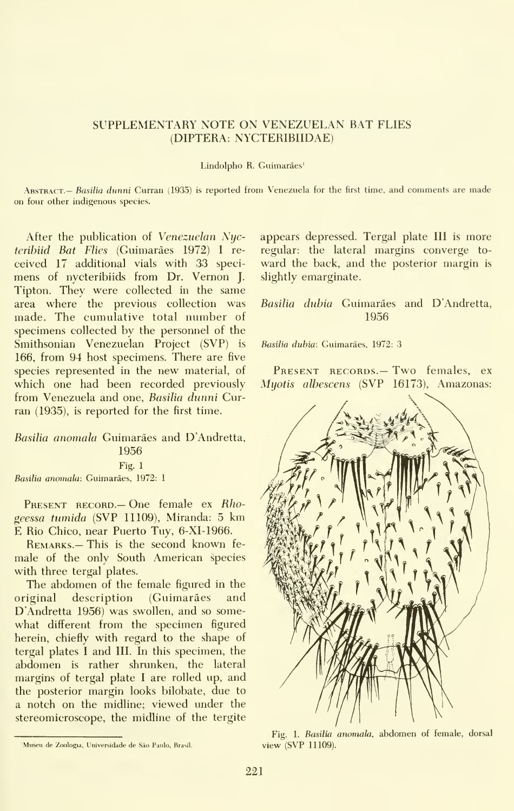#### SUPPLEMENTARY NOTE ON VENEZUELAN BAT FLIES (DIPTERA: NYCTERIBIIDAE)

#### Lindolpho R. Guimarães<sup>1</sup>

ABSTRACT. - Basilia dunni Curran (1935) is reported from Venezuela for the first time, and comments are made on four other indigenous species.

After the publication of Venezuelan Nycteribiid Bat Flies (Guimarães 1972) I received 17 additional vials with 33 speci mens of nycteribiids from Dr. Vernon J. Tipton. They were collected in the same area where the previous collection was made. The cumulative total number of specimens collected by the personnel of the Smithsonian Venezuelan Project (SVP) is 166, from 94 host specimens. There are five species represented in the new material, of which one had been recorded previously from Venezuela and one, Basilia dunni Curran (1935), is reported for the first time.

Basilia anomala Guimarães and D'Andretta, 1956 Fig. 1 Basilia anomala: Guimaraes, 1972: <sup>1</sup>

PRESENT RECORD.— One female ex Rhogeessa tumida (SVP 11109), Miranda: 5 km E Rio Chico, near Puerto Tuy, 6-XI-1966.

Remarks.— This is the second known fe male of the only South American species with three tergal plates.

The abdomen of the female figured in the original description (Guimaraes and D'Andretta 1956) was swollen, and so some what different from the specimen figured herein, chiefly with regard to the shape of tergal plates <sup>I</sup>and III. In this specimen, the abdomen is rather shrunken, the lateral margins of tergal plate <sup>I</sup>are rolled up, and the posterior margin looks bilobate, due to a notch on the midline; viewed under the stereomicroscope, the midline of the tergite appears depressed. Tergal plate III is more regular: the lateral margins converge to ward the back, and the posterior margin is slightly emarginate.

Basilia dubia Guimarães and D'Andretta, 1956

Basilia dubia: Guimaraes, 1972: 3

PRESENT RECORDS. — Two females, ex Myotis albescens (SVP 16173), Amazonas:



1 Fig. 1. Basilia anomala, abdomen of female, dorsal Fig. 1. Basilia anomala, abdomen of female, dorsal view (SVP 11109).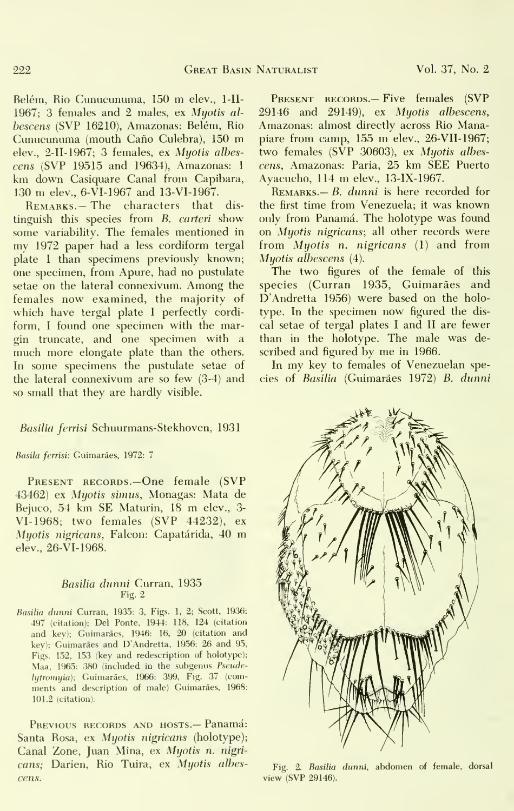Belém, Rio Cunucunuma, 150 m elev., 1-II-1967; 3 females and 2 males, ex Myotis al bescens (SVP 16210), Amazonas: Belém, Rio Cunucunuma (mouth Caño Culebra), 150 m elev., 2-II-1967; 3 females, ex Myotis albes cens (SVP 19515 and 19634), Amazonas: <sup>1</sup> km down Casiquare Canal from Capibara, <sup>130</sup> m elev., 6-VI-1967 and 13-VI-1967.

REMARKS.-The characters that distinguish this species from B. carteri show some variability. The females mentioned in my 1972 paper had <sup>a</sup> less cordiform tergal plate <sup>I</sup> than specimens previously known; one specimen, from Apure, had no pustulate setae on the lateral connexivum. Among the females now examined, the majority of which have tergal plate <sup>I</sup> perfectly cordi form, I found one specimen with the margin truncate, and one specimen with a much more elongate plate than the others. In some specimens the pustulate setae of the lateral connexivum are so few (3-4) and so small that they are hardly visible.

#### Basilia ferrisi Schuurmans-Stekhoven, 1931

#### Basila ferrisi: Guimarães, 1972: 7

PRESENT RECORDS.-One female (SVP 43462) ex Myotis simus, Monagas: Mata de Bejuco, <sup>54</sup> km SE Maturin, <sup>18</sup> m elev., 3- VI-1968; two females (SVP 44232), ex Myotis nigricans. Falcon: Capatarida, <sup>40</sup> m elev., 26-VI-1968.

#### Basilia dunni Curran, 1935 Fig. 2

Basilia dunni Curran, 1935: 3, Figs. 1, 2; Scott, 1936: 497 (citation); Del Ponte, 1944: 118, 124 (citation and key); Guimaraes, 1946: 16, 20 (citation and key); Guimaraes and D'Andretta, 1956: 26 and 95, Figs. 152, 153 (key and redescription of holotype); Maa, 1965: 380 (included in the subgenus Pseudelytromyia); Guimaraes, 1966: 399, Fig. 37 (com ments and description of male) Guimaraes, 1968: 101.2 (citation).

PREVIOUS RECORDS AND HOSTS.- Panamá: Santa Rosa, ex Myotis nigricans (holotype); Canal Zone, Juan Mina, ex Myotis n. nigri cans; Darien, Rio Tuira, ex Myotis albescens.

PRESENT RECORDS.- Five females (SVP 29146 and 29149), ex Myotis albescens, Amazonas: almost directly across Rio Manapiare from camp, <sup>155</sup> m elev., 26-VII-1967; two females (SVP 30603), ex Myotis albescens, Amazonas: Paria, 25 km SEE Puerto Ayacucho, <sup>114</sup> m elev., 13-IX-1967.

 $R_{EMARKS.} - B.$  dunni is here recorded for the first time from Venezuela; it was known only from Panamá. The holotype was found on Myotis nigricans; all other records were from Myotis n. nigricans (1) and from Myotis albescens (4).

The two figures of the female of this species (Curran 1935, Guimarães and D'Andretta 1956) were based on the holotype. In the specimen now figured the dis cal setae of tergal plates <sup>I</sup> and II are fewer than in the holotype. The male was de scribed and figured by me in 1966.

In my key to females of Venezuelan species of Basilia (Guimaraes 1972) B. dunni



Fig. 2. *Basilia dunni*, abdomen of female, dorsal view (SVP 29146).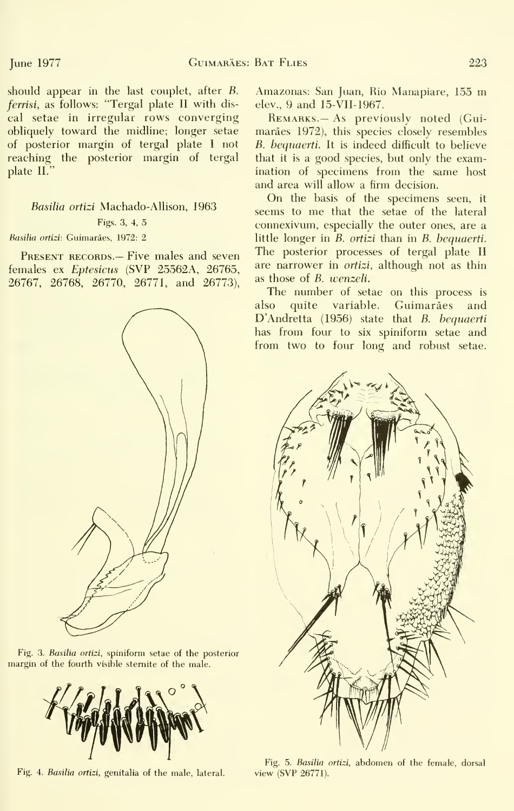should appear in the last couplet, after B. ferrisi, as follows: "Tergal plate II with dis cal setae in irregular rows converging obliquely toward the midline; longer setae of posterior margin of tergal plate <sup>I</sup> not reaching the posterior margin of tergal plate II."

Basilia ortizi Machado-Allison, 1963 Figs. 3, 4, 5

#### Basilia ortizi: Guimarães, 1972: 2

PRESENT RECORDS.- Five males and seven females ex Eptesicus (SVP 25562A, 26765, 26767, 26768, 26770, 26771, and 26773),



Fig. 3. Basilia ortizi, spiniform setae of the posterior margin of the fourth visible stemite of the male.



Amazonas: San Juan, Rio Manapiare, <sup>155</sup> m elev., 9 and 15-VII-1967.

Remarks.— As previously noted (Gui maraes 1972), this species closely resembles B. bequaerti. It is indeed difficult to believe that it is a good species, but only the examination of specimens from the same host and area will allow a firm decision.

On the basis of the specimens seen, it seems to me that the setae of the lateral connexivum, especially the outer ones, are a little longer in B. ortizi than in B. bequaerti. The posterior processes of tergal plate II are narrower in *ortizi*, although not as thin as those of B. wenzeli.

The number of setae on this process is also quite variable. Guimarães and D'Andretta (1956) state that B. bequaerti has from four to six spiniform setae and from two to four long and robust setae.



Fig. 4. Basilia ortizi, genitalia of the male, lateral. Fig. 5. Basilia ortizi, abdomen of the female, dorsal view (SVP 26771).